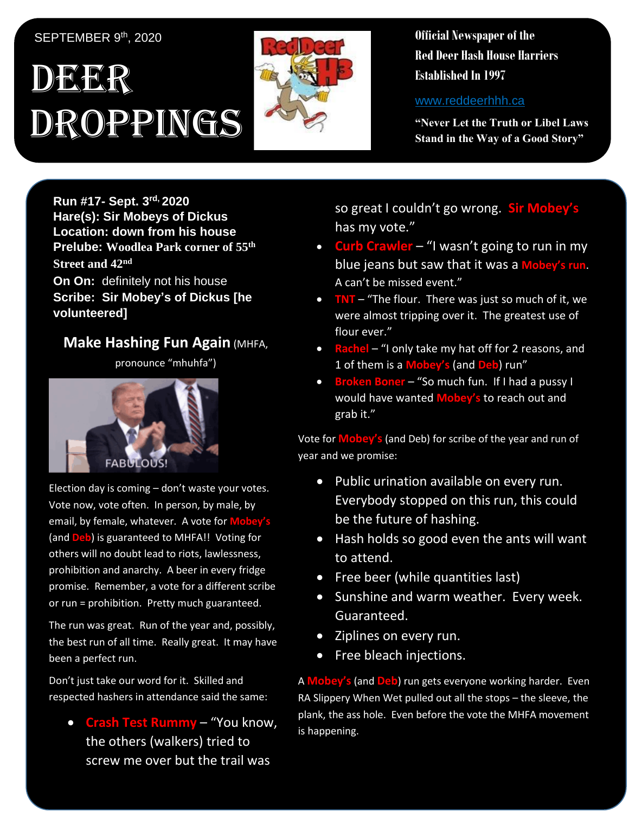## SEPTEMBER 9th, 2020

## DEER Droppings



**Official Newspaper of the Red Deer Hash House Harriers Established In 1997** 

www.reddeerhhh.ca

**"Never Let the Truth or Libel Laws Stand in the Way of a Good Story"**

**Run #17- Sept. 3 rd, 2020 Hare(s): Sir Mobeys of Dickus Location: down from his house Prelube: Woodlea Park corner of 55th Street and 42nd**

**On On:** definitely not his house **Scribe: Sir Mobey's of Dickus [he volunteered]**

## **Make Hashing Fun Again (MHFA,**

pronounce "mhuhfa")



Election day is coming – don't waste your votes. Vote now, vote often. In person, by male, by email, by female, whatever. A vote for **Mobe** (and **Deb**) is guaranteed to MHFA!! Voting for others will no doubt lead to riots, lawlessness, prohibition and anarchy. A beer in every fridge promise. Remember, a vote for a different scribe or run = prohibition. Pretty much guaranteed.

The run was great. Run of the year and, possibly, the best run of all time. Really great. It may have been a perfect run.

Don't just take our word for it. Skilled and respected hashers in attendance said the same:

• **Crash Test Rummy** – "You know, the others (walkers) tried to screw me over but the trail was

so great I couldn't go wrong. **Sir Mobey's** has my vote."

- **Curb Crawler** "I wasn't going to run in my blue jeans but saw that it was a **Mobey's run**. A can't be missed event."
- **TNT** "The flour. There was just so much of it, we were almost tripping over it. The greatest use of flour ever."
- **Rachel** "I only take my hat off for 2 reasons, and 1 of them is a **Mobey's** (and **Deb**) run"
- **Broken Boner** "So much fun. If I had a pussy I would have wanted **Mobey's** to reach out and grab it."

Vote for **Mobey's** (and Deb) for scribe of the year and run of year and we promise:

- Public urination available on every run. Everybody stopped on this run, this could be the future of hashing.
- Hash holds so good even the ants will want to attend.
- Free beer (while quantities last)
- Sunshine and warm weather. Every week. Guaranteed.
- Ziplines on every run.
- Free bleach injections.

A **Mobey's** (and **Deb**) run gets everyone working harder. Even RA Slippery When Wet pulled out all the stops – the sleeve, the plank, the ass hole. Even before the vote the MHFA movement is happening.